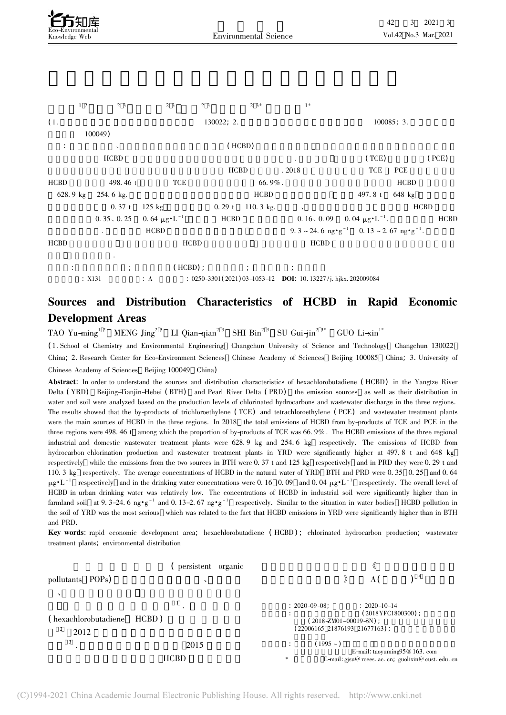



## Sources and Distribution Characteristics of HCBD in Rapid Economic Development Areas

TAO Yu-ming<sup>1 2</sup> MENG Jing<sup>2 3</sup> LI Qian-qian<sup>2 3</sup> SHI Bin<sup>2 3</sup> SU Gui-jin<sup>2 3\*</sup> GUO Li-xin<sup>1\*</sup>

( 1. School of Chemistry and Environmental Engineering Changchun University of Science and Technology Changchun 130022

China; 2. Research Center for Eco-Environment Sciences Chinese Academy of Sciences Beijing 100085 China; 3. University of Chinese Academy of Sciences Beijing 100049 China)

Abstract: In order to understand the sources and distribution characteristics of hexachlorobutadiene ( HCBD) in the Yangtze River DeltaDelta (YRD) Beijing-Tianjin-Hebei (BTH) and Pearl River Delta (PRD) the emission sources as well as their distribution in water and soil were analyzed based on the production levels of chlorinated hydrocarbons and wastewater discharge in the three regions. water and son were anaryzed based on the production levers of chromated hydrocarbons and wastewater discharge in the three regions.<br>The results showed that the by-products of trichloroethylene (TCE) and tetrachloroethylene The results showed that the by-products of themoroemylene (TCE) and tetrachoroemylene (TCE) and wastewater treatment plants<br>were the main sources of HCBD in the three regions. In 2018 the total emissions of HCBD from by-pr were the main sources of HCBD in the three regions. In 2016 the total emissions of HCBD from by-products of TCE and TCE in the<br>three regions were 498.46 t among which the proportion of by-products of TCE was 66.9%. The HCB ince regions were 450. 40 t among which the proportion of by-products of red was 60. 5%. The riebb emissions of the meeting regional industrial and domestic wastewater treatment plants were 628. 9 kg and 254. 6 kg respecti hydrocarbon chlorination production and wastewater treatment plants in YRD were significantly higher at 497.8 t and 648 kg while the emissions from the two sources in BTH were 0. 37 t and 125 kg respectively and in PRD they were 0. 29 t and respectively while the emissions from the two sources in BTH were 0.37 t and 123 kg respectively and in FKD they were 0.29 t and<br>110.3 kg respectively. The average concentrations of HCBD in the natural water of YRD BTH and  $\mu$ g·L<sup>-1</sup> respectively and in the drinking water concentrations were 0. 16 0.09 and 0.04  $\mu$ g·L<sup>-1</sup> respectively. The overall level of HCBD in urban drinking water was relatively low. The concentrations of HCBD in industrial soil were significantly higher than in farmland soil at 9.3-24. 6 ng·g<sup>-1</sup> and 0.13-2. 67 ng·g<sup>-1</sup> respectively. Similar to the situation in water bodies HCBD pollution in the soil of YRD was the most serious which was related to the fact that HCBD emissions in YRD were significantly higher than in BTH and PRD.

Key words: rapid economic development area; hexachlorobutadiene ( HCBD) ; chlorinated hydrocarbon production; wastewater treatment plants; environmental distribution

|                                           | persistent organic |                                                                                                                                        |
|-------------------------------------------|--------------------|----------------------------------------------------------------------------------------------------------------------------------------|
| pollutants POPs)                          | ↘                  | $\rangle$                                                                                                                              |
| $\lambda$<br>(hexachlorobutadiene<br>2012 | HCBD)              | $: 2020 - 09 - 08$<br>$: 2020 - 10 - 14$<br>$(2018YFC1800300)$ ;<br>$(2018 - ZM01 - 00019 - SN)$ ;<br>$(22006165 21876193 21677163)$ ; |
| 3                                         | 2015               | $(1995 - )$<br>٠<br>÷                                                                                                                  |
|                                           | <b>HCBD</b>        | E-mail: taoyuming $95@163$ . com<br>*<br>E-mail: gjsu@ rcees. ac. cn, guolixin@ cust. edu. cr                                          |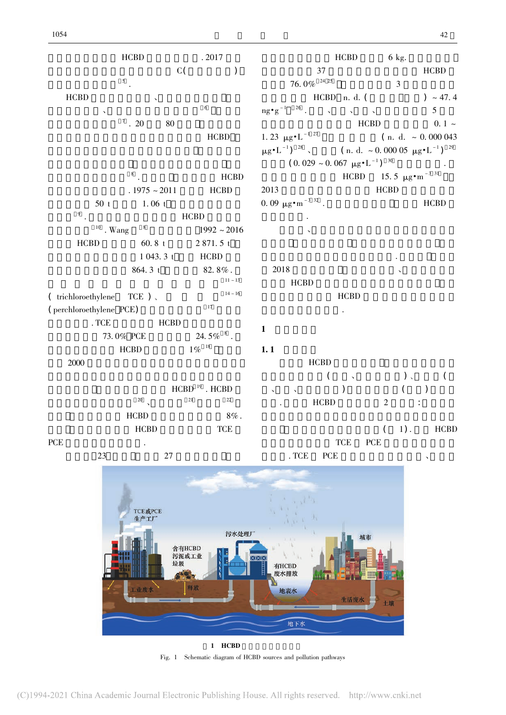





Fig. 1 Schematic diagram of HCBD sources and pollution pathways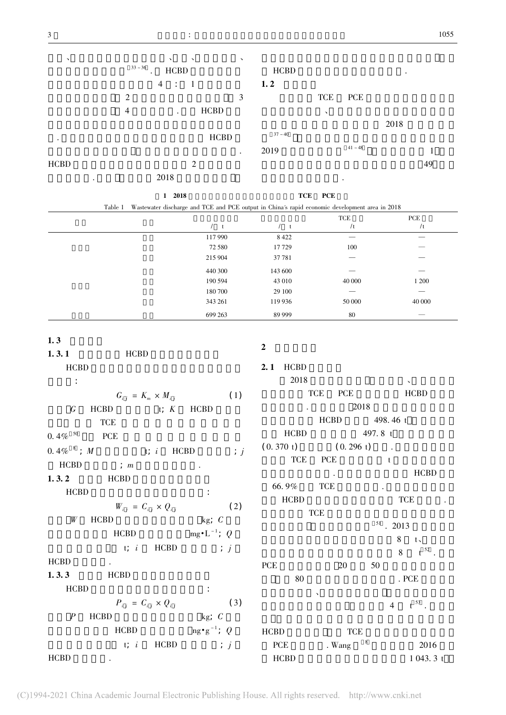PCE



| 2018                                                                                                   | TCE PCE |     |
|--------------------------------------------------------------------------------------------------------|---------|-----|
| Table 1 Wastewater discharge and TCE and PCE output in China's rapid economic development area in 2018 |         |     |
|                                                                                                        |         | TOE |

|         |              | TCE    | <b>PCE</b>               |
|---------|--------------|--------|--------------------------|
| t       | $\mathbf{t}$ | /t     | /t                       |
| 117 990 | 8 4 2 2      | __     | __                       |
| 72 580  | 17729        | 100    |                          |
| 215 904 | 37 781       | --     |                          |
| 440 300 | 143 600      | ---    | __                       |
| 190 594 | 43 010       | 40 000 | 1 200                    |
| 180 700 | 29 100       | __     | $\overline{\phantom{a}}$ |
| 343 261 | 119 936      | 50 000 | 40 000                   |
| 699 263 | 89 999       | 80     |                          |

| 1.3 |  |
|-----|--|
|-----|--|

| … …                                                     |                | $\overline{2}$            |                           |                         |                 |
|---------------------------------------------------------|----------------|---------------------------|---------------------------|-------------------------|-----------------|
| 1.3.1<br><b>HCBD</b>                                    |                |                           |                           |                         |                 |
| <b>HCBD</b>                                             |                | <b>2.1</b> HCBD           |                           |                         |                 |
| $\sim 10$                                               |                | 2018                      |                           |                         |                 |
| $G_{i,i} = K_m \times M_{i,i}$                          | (1)            |                           | TCE<br><b>PCE</b>         |                         | <b>HCBD</b>     |
| $HCBD$ t; $K$ $HCBD$<br>$\epsilon$                      |                |                           |                           | 2018                    |                 |
| <b>TCE</b>                                              |                |                           |                           | HCBD 498.46 t           |                 |
| 0.4% $^{50}$ PCE                                        |                |                           | HCBD 497.8 t              |                         |                 |
| 0.4% $\frac{8}{3}$ ; <i>M</i> t; <i>i</i> HCBD          | $\therefore$ j | $(0.370 t)$ $(0.296 t)$ . |                           |                         |                 |
| <b>HCBD</b><br>$\vdots$ m                               |                |                           | TCE PCE t                 |                         |                 |
| <b>1.3.2</b> HCBD                                       |                |                           |                           |                         | <b>HCBD</b>     |
| <b>HCBD</b>                                             |                | 66.9%                     | <b>TCE</b>                | $\sim 100$ km s $^{-1}$ |                 |
| $W_{i j} = C_{i j} \times Q_{i j}$                      | (2)            | <b>HCBD</b>               |                           |                         | <b>TCE</b>      |
| W<br><b>HCBD</b><br>kg; $C$                             |                |                           | <b>TCE</b>                |                         |                 |
| HCBD $mg \cdot L^{-1}$ ; Q                              |                |                           |                           | $51$ . 2013             |                 |
|                                                         |                |                           |                           |                         | $8$ t           |
| t; $i$ HCBD ; $j$                                       |                |                           |                           |                         | $8 \t t^{52}$ . |
| <b>HCBD</b><br><b>All Contracts</b>                     |                | PCE                       | 20                        | 50                      |                 |
| 1.3.3<br><b>HCBD</b>                                    |                | 80                        |                           |                         | . $PCE$         |
| <b>HCBD</b>                                             |                |                           | $\boldsymbol{\checkmark}$ |                         |                 |
| $P_{ij} = C_{ij} \times Q_{ij}$                         | (3)            |                           |                           | $\overline{4}$          | $t^{53}$ .      |
| kg; $C$<br>$\boldsymbol{P}$<br><b>HCBD</b>              |                |                           |                           |                         |                 |
| $\text{mg} \cdot \text{g}^{-1}$ ; Q HCBD<br><b>HCBD</b> |                |                           | <b>TCE</b>                |                         |                 |
| $HCBD$ ; $j$<br>t; i                                    |                | <b>PCE</b>                | . Wang $8$                |                         | 2016            |
| <b>HCBD</b>                                             |                | <b>HCBD</b>               |                           |                         | 1043.3t         |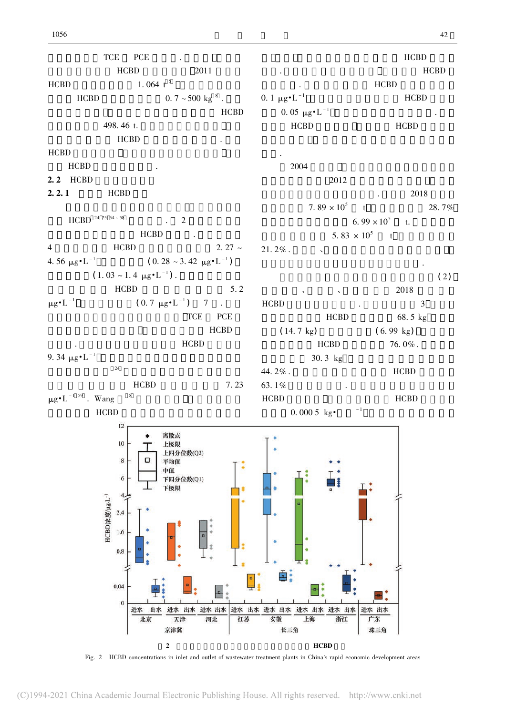TCE PCE .  $HCBD$  2011  $\frac{1.064 \text{ t}^5}{2011}$ HCBD $HCBD$  0. 7 ~ 500 kg  $^{8}$ . 究中估算结果 仅三大区域工业生产过程中 HCBD **HCBD**<br>498. 46 t.  $HCBD$   $\qquad \qquad$ 下水. HCBD $\mathbf{D}$ HCBD 2.2 HCBD  $2.2.1$  HCBD  $HCBD<sup>24 25 54 ~-58</sup>$  . 2  $HCBD$  $\text{HCBD}$  2. 27 ~ 4HCBD 2. 27 ~  $(0. 28 \sim 3.42 \mu g \cdot L^{-1})$ 21. 2% .4.56  $\mu$ g  $\cdot$  L<sup>-1</sup>  $(1.03 \sim 1.4 \mu g \cdot L^{-1})$ .  $HCBD$  5. 2 HCBD 5<br>  $\mu$ g•L<sup>-1</sup> (0.7 μg•L<sup>-1</sup>) 7. HCBD $\frac{1}{\sqrt{2}}$ 主要生产厂也集中在此 导致工业废水中 HCBD extended to the contract of the contract of the contract of the contract of the contract of the contract of the contract of the contract of the contract of the contract of the contract of the contract of the contract of th 9. 34  $\mu$ g·L<sup>-1</sup>  $24$  $HCBD$  7. 23  $\text{HCBD}$  7.23  $\mu \text{g} \cdot \text{L}^{-1.59}$ . Wang  $\text{R}$ 63. 1%HCBD $HCBD$  $12$ 离散点 10 上极限 上四分位数(Q3) 8 平均值 中值  $\sqrt{6}$ 下四分位数(Q1) 下极限  $4,$  $2.4$ 

HCBD  $\overline{\phantom{a}}$  $HCBD$ 0. 1  $\mu$ g·L<sup>-1</sup> HCBD  $\mu$ g·L<sup>-1</sup> HCBD<br>0. 05  $\mu$ g·L<sup>-1</sup>  $HCBD$  HCBD 2004 $4\,$  $2012$  $\frac{1}{2012}$  . 2018  $7.89 \times 10^5$  t 2018<br>7.  $89 \times 10^5$  t 28. 7%  $6.99 \times 10^5$  t.  $5.83 \times 10^5$  t  $\epsilon = \frac{1}{\sqrt{2}}$  $\mathbb{H}^{\mathbb{Z}}$ 

# $\ddot{\hspace{1cm}}$  (2)

 $\sim$   $\sim$  2018  $\overline{D}$  3  $\overline{3}$  $HCBD$  68. 5 kg  $\text{HCBD}$  68. 5 kg<br>( 14. 7 kg)  $(6.99 \text{ kg})$  $HCBD$  76. 0% .  $100E$   $1000$ 44. 2% . $\frac{1}{2}$  HCBD  $\frac{1}{2}$  $\overline{D}$  HCBD 均低 于0. 000 5 kg·亿元 - 1 由此可见生活污水中



Fig. 2 HCBD concentrations in inlet and outlet of wastewater treatment plants in China's rapid economic development areas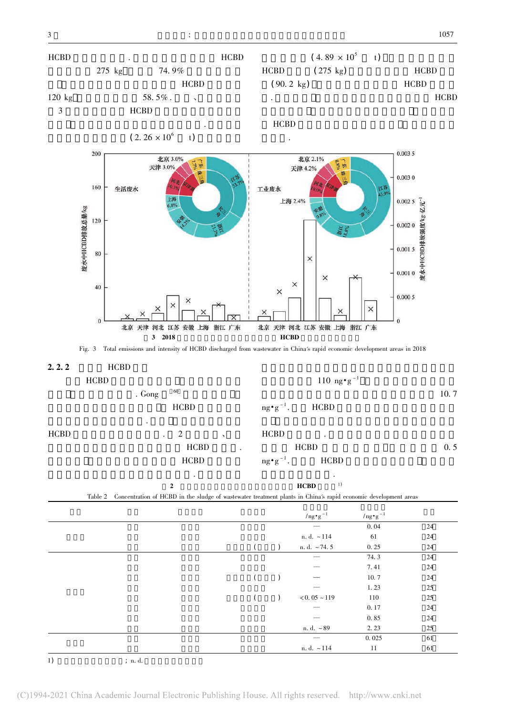



 $\overline{1}$   $\overline{1}$   $\overline{1}$   $\overline{1}$   $\overline{1}$   $\overline{1}$   $\overline{1}$   $\overline{1}$   $\overline{1}$   $\overline{1}$   $\overline{1}$   $\overline{1}$   $\overline{1}$   $\overline{1}$   $\overline{1}$   $\overline{1}$   $\overline{1}$   $\overline{1}$   $\overline{1}$   $\overline{1}$   $\overline{1}$   $\overline{1}$   $\overline{1}$   $\overline{1}$   $\overline{$ 

 $n. d. ~ 114$  11 61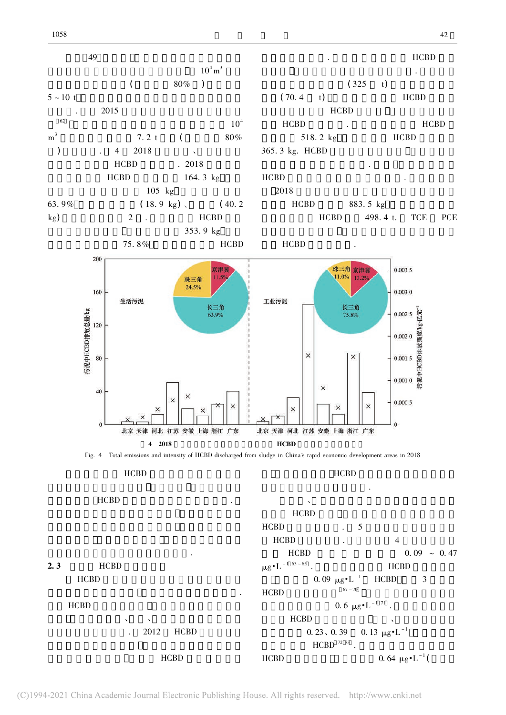





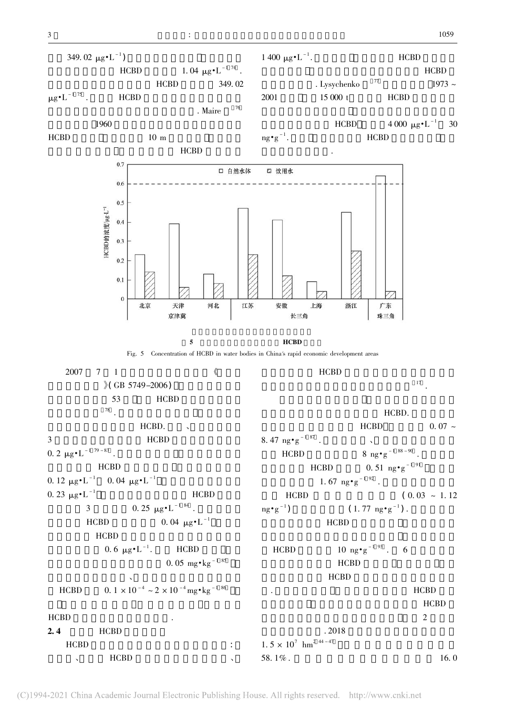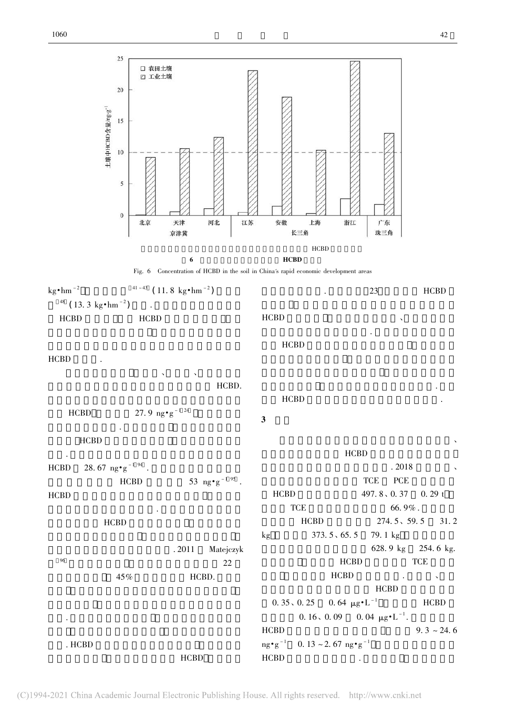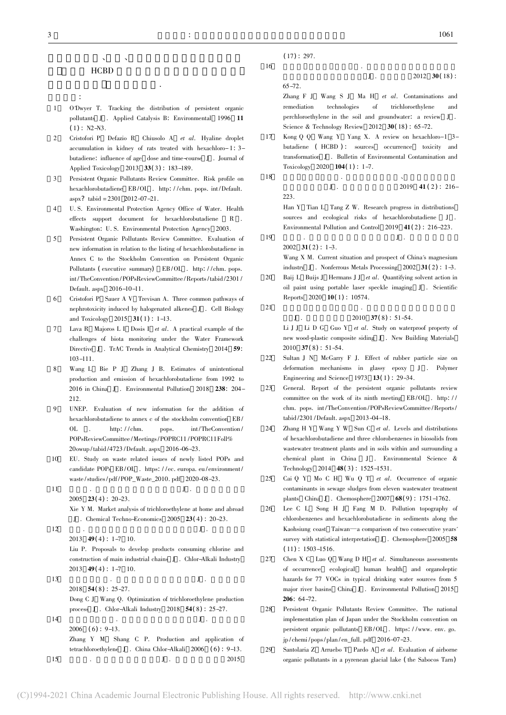$I_1$  .  $2012$  30(18):

### $\mathbf{A}^{\text{N}}$  $HCBD$  $\ddot{\phantom{a}}$

 $\ddot{\cdot}$ 

- 11 O'Dwyer T. Tracking the distribution of persistent organic pollutants J . Applied Catalysis B: Environmental 1996 11  $(1)$ : N2-N3.
- $\overline{2}$  Cristofori P Defazio R Chiusolo A et al. Hyaline droplet accumulation in kidney of rats treated with hexachloro- 1: 3 butadiene: influence of age dose and time-course <sup>J</sup> . Journal of Applied Toxicology <sup>2013</sup> <sup>33</sup>( <sup>3</sup>) : 183-189.
- 3 Persistent Organic Pollutants Review Committee. Risk profile on hexachlorobutadiene EB /OL . http: / /chm. pops. int /Default. aspx? tabid =  $2301$  2012-07-21.
- 4 U. S. Environmental Protection Agency Office of Water. Health effects support document for hexachlorobutadiene <sup>R</sup> . Washington: U. S. Environmental Protection Agency 2003.
- 5 Persistent Organic Pollutants Review Committee. Evaluation of new information in relation to the listing of hexachlorobutadiene in Annex C to the Stockholm Convention on Persistent Organic Pollutants ( executive summary) EB/OL . http://chm. pops. int /TheConvention /POPsReviewCommittee /Reports/tabid /2301 / Default. aspx 2016-10-11.
- 6 Cristofori P Sauer A V Trevisan A. Three common pathways of nephrotoxicity induced by halogenated alkenes J. Cell Biology and Toxicology  $2015 \text{ } 31(1)$ : 1-13.
- Lava R Majoros L I Dosis I et al. A practical example of the challenges of biota monitoring under the Water Framework Directive J. TrAC Trends in Analytical Chemistry 2014 59: 103-111.
- 8 Wang L Bie P J Zhang J B. Estimates of unintentional production and emission of hexachlorobutadiene from 1992 to 2016 in China J . Environmental Pollution 2018 238: 204-212.
- 9 UNEP. Evaluation of new information for the addition of hexachlorobutadiene to annex c of the stockholm convention EB /<br>OL . http: //chm. pops. int/TheConvention / POPsReviewCommittee/Meetings/POPRC11/POPRC11Foll% 20owup /tabid /4723 /Default. aspx 2016-06-23.
- 10 EU. Study on waste related issues of newly listed POPs and candidate POPs EB /OL . https: / /ec. europa. eu /environment / waste/studies/pdf/POP\_Waste\_2010. pdf 2020-08-23.
- 11 $\frac{1}{1}$  .  $\frac{1}{1}$ 2005 23(4): 20–23.  $X$ ie Y M. Market analysis of trichloroethylene at home and abroad  $J$ . Chemical Techno-Economics 2005 23(4): 20–23.  $\begin{bmatrix} 2 & 1 \end{bmatrix}$  $\frac{1}{200}$  .  $\frac{1}{200}$  .  $\frac{1}{20}$  .
	- 2013 **49(4)** 1-7 10.

12

15

- Liu P. Proposals to develop products consuming chlorine and 2011. Troposals to develop products constanting entorine different construction of main industrial chains J. Chlor-Alkali Industry 2013  $49(4)$ : 1-7 10.
- 13 $\frac{2015}{3}$  .  $\frac{1}{201}$  . 2018 **54(8)**: 25-27.  $\Sigma$  C  $\overline{C}$  J  $\overline{C}$  Wang Q. Optimization of trichloroethylene production process J . Chlor-Alkali Industry 2018 54(8): 25-27. 14 $\frac{1}{4}$   $\frac{1}{1}$ .
- 2006 (6)  $9-13$ . Zhang Y M Shang C P. Production and application of tetrachloroethylene J. China Chlor-Alkali 2006 (6): 9-13.  $J \cdot 2015$ <br>5  $J \cdot 2015$
- $(17): 297.$  $6 \frac{1}{2}$ 
	-

16

18

19

 $65 - 72.$ 

 $Z$ hang F J Wang S J Ma H *et al.* Contaminations and remediation technologies of trichloroethylene andand perchloroethylene in the soil and groundwater: a review <sup>J</sup> . Science & Technology Review 2012 30(18): 65-72.

- 17 Kong Q Q Wang Y Yang X. A review on hexachloro-1 3 butadiene ( HCBD ) : sources occurrence toxicity and transformation <sup>J</sup> . Bulletin of Environmental Contamination and Toxicology 2020 **104(1)**: 1-7.  $\frac{1}{3}$ 
	- $J \t2019 \t41 (2) : 216-$ 223.

Han Y Tian L Tang Z W. Research progress in distributions sources and ecological risks of hexachlorobutadiene <sup>J</sup> . Environmental Pollution and Control 2019 41(2): 216-223.  $\frac{1}{200}$ .  $\frac{1}{200}$  .

2002  $31(2)$ : 1-3.

Wang X M. Current situation and prospect of China's magnesium industry J. Nonferrous Metals Processing 2002 31(2): 1-3.

- $20$ Baij L Buijs J Hermans J J et al. Quantifying solvent action in oil paint using portable laser speckle imaging J . Scientific Reports 2020 **10(1)**: 10574.  $\frac{1}{\sqrt{2\pi}}$  .
- 21

 $\mathbf{I}$ .

 $2010 \quad 37(8) : 51-54.$ 

Li J J Li D G Guo Y *et al.* Study on waterproof property of new wood-plastic composite siding J. New Building Materials  $2010 \quad 37(8) : 51-54.$ 

- 22 Sultan J N McGarry F J. Effect of rubber particle size on deformation mechanisms in glassy epoxy J . Polymer Engineering and Science 1973 13(1): 29-34.
- 23 General. Report of the persistent organic pollutants review committee on the work of its ninth meeting EB/OL. http:// chm. pops. int/TheConvention/POPsReviewCommittee/Reports/ tabid /2301 /Default. aspx 2013-04-18.
- 24Zhang H Y Wang Y W Sun C et al. Levels and distributions of hexachlorobutadiene and three chlorobenzenes in biosolids from wastewater treatment plants and in soils within and surrounding a chemical plant in China <sup>J</sup> . Environmental Science & Technology 2014 48(3): 1525-1531.
- 25 Cai Q Y Mo C H Wu Q T et al. Occurrence of organic contaminants in sewage sludges from eleven wastewater treatment plants China J . Chemosphere 2007 68(9): 1751-1762.
- 26 Lee C L Song H J Fang M D. Pollution topography of chlorobenzenes and hexachlorobutadiene in sediments along the Kaohsiung coast Taiwan—a comparison of two consecutive years' survey with statistical interpretation J. Chemosphere 2005 58 ( <sup>11</sup>) : 1503-1516.
- $27$  Chen X C Luo Q Wang D H et al. Simultaneous assessments of occurrence ecological human health and organoleptic hazards for 77 VOCs in typical drinking water sources from 5 major river basins China J . Environmental Pollution 2015 <sup>206</sup>: 64-72.
- 28 Persistent Organic Pollutants Review Committee. The national implementation plan of Japan under the Stockholm convention on persistent organic pollutants EB /OL . https: / /www. env. go. persistent organic portatants EB7 02 : maps.<br>ip/chemi/pops/plan/en\_full. pdf 2016-07-23.
- $29$  Santolaria Z Arruebo T Pardo A et al. Evaluation of airborne organic pollutants in a pyrenean glacial lake ( the Sabocos Tarn)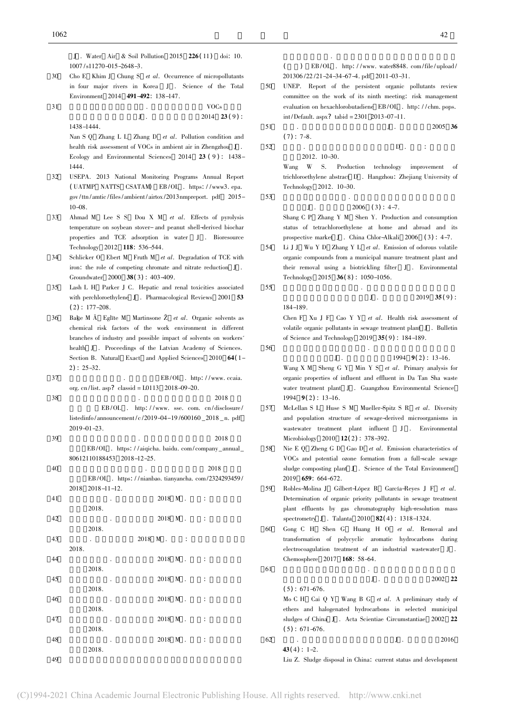J . Water Air & Soil Pollution <sup>2015</sup> <sup>226</sup>( <sup>11</sup>) doi: 10. 1007/s11270-015-2648-3.

30 Cho E Khim J Chung S et al. Occurrence of micropollutants in four major rivers in Korea J. Science of the Total Environment <sup>2014</sup> <sup>491</sup>-492: 138-147.  $\frac{1}{1}$  VOCs

31

1438-1444.

not not not.<br>Nan S O Zhang L L Zhang D *et al.* Pollution condition and health risk assessment of VOCs in ambient air in Zhengzhou <sup>J</sup> . Ecology and Environmental Sciences 2014 23 (9): 1438 USEPA. 2013 National Monitoring Programs Annual Report

 $VOCs$ <br> $J$  .  $2014$   $23 (9)$  :

- 32( UATMP NATTS CSATAM) EB/OL . https://www3. epa. gov /ttn /amtic /files/ambient /airtox /2013nmpreport. pdf 2015- 10-08.
- 33 Ahmad M Lee S S Dou X M et al. Effects of pyrolysis temperature on soybean stover- and peanut shell-derived biochar properties and TCE adsorption in water J. Bioresource Technology 2012 118: 536-544.
- 34Schlicker O Ebert M Fruth M et al. Degradation of TCE with iron: the role of competing chromate and nitrate reduction <sup>J</sup> . Groundwater 2000 **38(3)**: 403-409.
- 35 Lash L H Parker J C. Hepatic and renal toxicities associated with perchloroethylene J. Pharmacological Reviews 2001 53  $(2)$ : 177-208.
- 36 $\zeta$  Bake M  $\bar{A}$  Eglīte M Martinsone  $\zeta$  *et al.* Organic solvents as chemical risk factors of the work environment in different branches of industry and possible impact of solvents on workers' health <sup>J</sup> . Proceedings of the Latvian Academy of Sciences. Section B. Natural Exact and Applied Sciences 2010 64(1-<sup>2</sup>) : 25-32.
- 37EB/OL . http://www.ccaia. org. cn/list. asp? classid = L0113 2018-09-20.
- 38 $\frac{3}{2018}$  3.  $\frac{3}{2018}$  2018  $E B / O L$  . http://www.sse.com.cn/disclosure/  $l_{20}$ ,  $l_{21}$ ,  $l_{22}$ ,  $l_{23}$ ,  $l_{24}$ ,  $l_{25}$ ,  $l_{26}$ ,  $l_{27}$ ,  $l_{28}$ ,  $l_{29}$ ,  $l_{20}$ ,  $l_{20}$ ,  $l_{20}$ ,  $l_{20}$ ,  $l_{20}$ ,  $l_{20}$ ,  $l_{20}$ ,  $l_{20}$ ,  $l_{21}$ ,  $l_{20}$ ,  $l_{21}$ ,  $l_{22}$ ,  $l_{23}$ ,  $l_{24}$ ,  $l_{25$
- 39 $251$  31 25. 2018  $\frac{251}{3}$  2018  $\text{EB}/\text{OL} \quad \text{https: } \textit{l/aiqicha} \text{, } \text{baidu.} \text{ com}/\text{company\_annual\_}$ 80612110188453 2018-12-25.
- 40 $\frac{3331113133122}{2018}$  2018 报告 EB /OL . https: / / nianbao. tianyancha. com/2324293459 /  $2018$  2018-11-12.
- 41 $2018 \text{ M}$ . 2018 M .  $2018 \text{ M}$ . 版社 2018. 42 $2018 M$  . 2018 M .  $2018 M$  . 版社 2018. 43 $3 \t 2018 \t M \t :$ 2018.44 $2018 M$  .  $2018 M$  .  $\vdots$ 版社 2018. 45 $5 \t 2018 \t M \t .$ 版社 2018. 46 $\frac{2018 \text{ M}}{2018 \text{ M}}$  . 版社 2018. 47 $7 \t\t 2018 \t M \t\t 2018$ 版社 2018. 48 $\frac{2018 \text{ M}}{100}$ . 版社 2018.

 $9$ 

 $\overline{49}$ 

( ) EB/OL . http://www.water8848.com/file/upload/ 201306/22/21-24-34-67-4. pdf 2011-03-31.

 $\mathbb{R}^n$ 

- 50 UNEP. Report of the persistent organic pollutants review committee on the work of its ninth meeting: risk management evaluation on hexachlorobutadiene EB /OL . http: / /chm. pops. int /Default. aspx? tabid = 2301 2013-07-11.
- 51 $\frac{1}{1}$  .  $\frac{1}{36}$  .  $\frac{2005}{36}$  $(7): 7-8.$  $\overline{2}$  . D . :

大学 2012. 10-30.

52

53

Wang W S. Production technology improvement of trichloroethylene abstract <sup>D</sup> . Hangzhou: Zhejiang University of Technology 2012. 10-30.  $\frac{1}{\sqrt{2}}$ . To see the company  $\frac{1}{\sqrt{2}}$ .

 $J$  . 2006 (3): 4-7.

Shang C P Zhang Y M Shen Y. Production and consumption status of tetrachloroethylene at home and abroad and its prospective market J. China Chlor-Alkali 2006 (3): 4-7.

- 54Li J J Wu Y D Zhang Y L et al. Emission of odorous volatile organic compounds from a municipal manure treatment plant and their removal using a biotrickling filter <sup>J</sup> . Environmental Technology 2015 **36**(8): 1050-1056.  $\frac{1}{\sqrt{2}}$   $\frac{1}{\sqrt{2}}$   $\frac{1}{\sqrt{2}}$   $\frac{1}{\sqrt{2}}$   $\frac{1}{\sqrt{2}}$   $\frac{1}{\sqrt{2}}$   $\frac{1}{\sqrt{2}}$   $\frac{1}{\sqrt{2}}$   $\frac{1}{\sqrt{2}}$   $\frac{1}{\sqrt{2}}$   $\frac{1}{\sqrt{2}}$   $\frac{1}{\sqrt{2}}$   $\frac{1}{\sqrt{2}}$   $\frac{1}{\sqrt{2}}$   $\frac{1}{\sqrt{2}}$   $\frac{1}{\sqrt{2}}$   $\frac{1}{\sqrt{2}}$ 
	-

184-189.

 $J \t 2019 \t 35(9)$ :

TOT 189.<br>Chen F Xu J F Cao Y Y *et al*. Health risk assessment of volatile organic pollutants in sewage treatment plant J. Bulletin of Science and Technology 2019 35(9): 184-189.  $\frac{1}{200}$  .  $\frac{1}{200}$  .  $\frac{1}{200}$  .

56

61

62

55

 $J$ . 1994 9(2): 13-16.

Wang X M Sheng G Y Min Y S et al. Primary analysis for organic properties of influent and effluent in Da Tan Sha waste water treatment plant J . Guangzhou Environmental Science 1994 **9(2)**: 13-16.

- 57 McLellan S L Huse S M Mueller-Spitz S R et al. Diversity and population structure of sewage-derived microorganisms in wastewater treatment plant influent J . Environmental Microbiology 2010 **12(2)**: 378-392.
- 58Nie E Q Zheng G D Gao D et al. Emission characteristics of VOCs and potential ozone formation from a full-scale sewage sludge composting plant J . Science of the Total Environment <sup>659</sup>: 664-672.
- 59 Robles-Molina J Gilbert-López B García-Reyes J F et al. Determination of organic priority pollutants in sewage treatment plant effluents by gas chromatography high-resolution mass spectrometry  $J$ . Talanta 2010  $82(4)$ : 1318-1324.
- 60 Gong C H Shen G Huang H O et al. Removal and transformation of polycyclic aromatic hydrocarbons during electrocoagulation treatment of an industrial wastewater J. Chemosphere <sup>2017</sup> <sup>168</sup>: 58-64.  $\frac{1}{1}$  .

 $J$  .  $2002$  22  $(5): 671-676.$ 

(5): 671 676.<br>Mo C H Cai O Y Wang B G *et al.* A preliminary study of ethers and halogenated hydrocarbons in selected municipal sludges of China J . Acta Scientiae Circumstantiae 2002 22  $(5): 671-676.$ 

$$
2 \t 1. \t 2016
$$
  
43(4): 1-2.

Liu Z. Sludge disposal in China: current status and development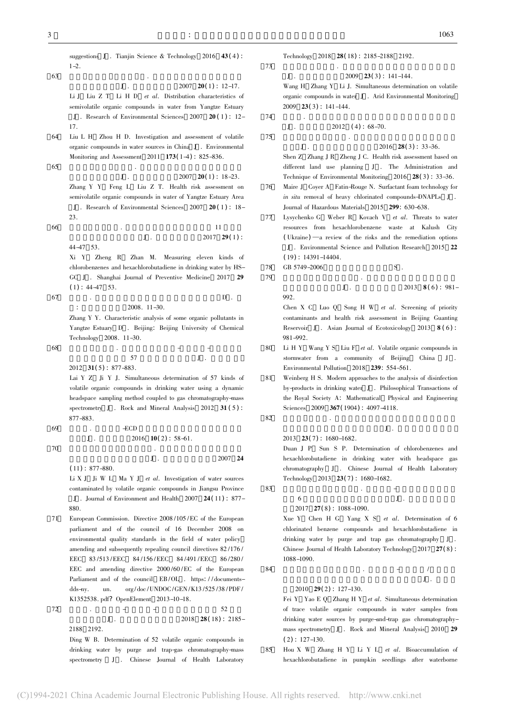suggestions J. Tianjin Science & Technology 2016  $43(4)$ :  $1 - 2$  $\frac{1}{3}$ 

- $J \t 2007 \t 20(1) : 12-17.$ Li J Liu Z T Li H D *et al.* Distribution characteristics of semivolatile organic compounds in water from Yangtze Estuary J . Research of Environmental Sciences <sup>2007</sup> <sup>20</sup> ( <sup>1</sup>) : 12- 17.
- 64 Liu L H Zhou H D. Investigation and assessment of volatile organic compounds in water sources in China <sup>J</sup> . Environmental Monitoring and Assessment 2011 **173**(1-4): 825-836. 65 $\frac{1}{\sqrt{2}}$ 
	- $J \t33.2007 \t20(1) : 18-23.$ Zhang Y Y Feng L Liu Z T. Health risk assessment on semivolatile organic compounds in water of Yangtze Estuary Area J . Research of Environmental Sciences <sup>2007</sup> <sup>20</sup> ( <sup>1</sup> ) : 18- 23.
- 66 $\frac{25.}{11}$  $\frac{11}{\text{J}}$  .  $\frac{2017}{\text{J}}$  29(1) : 44-47 53.
	- Xi Y Zheng R Zhan M. Measuring eleven kinds of chlorobenzenes and hexachlorobutadiene in drinking water by HS-GC J. Shanghai Journal of Preventive Medicine 2017 29  $(1)$ : 44-47 53.
- 67 $\n 7 \quad \ \ \, \ldots \quad \ \ \, \ldots$  $2008.11 - 30.$ Zhang Y Y. Characteristic analysis of some organic pollutants in Estuary D . Beijing: Beijing University of Chemical<br>Tangtze Estuary D . Beijing: Beijing University of Chemical
- Technology 2008. 11-30.  $\frac{1}{8}$   $\frac{1}{8}$   $\frac{1}{8}$   $\frac{1}{8}$   $\frac{1}{8}$   $\frac{1}{8}$   $\frac{1}{8}$   $\frac{1}{8}$   $\frac{1}{8}$   $\frac{1}{8}$   $\frac{1}{8}$   $\frac{1}{8}$   $\frac{1}{8}$   $\frac{1}{8}$   $\frac{1}{8}$   $\frac{1}{8}$   $\frac{1}{8}$   $\frac{1}{8}$   $\frac{1}{8}$   $\frac{1}{8}$   $\frac{1}{8}$   $\frac{1}{8}$ 
	- $57$  J . 2012 **31(5)**: 877-883. Lai Y Z Ji Y J. Simultaneous determination of 57 kinds of volatile organic compounds in drinking water using a dynamic headspace sampling method coupled to gas chromatography-mass spectrometry J. Rock and Mineral Analysis 2012 31 (5):
- 69 先达. 气相色谱-ECD 法测定水中有机氯农药和氯苯类化  $J$ . 2016 10(2): 58-61.  $0$

70

68

 $J$  .  $2007$  24  $(11): 877 - 880.$ 

Li X J  $\parallel$  Ii W L Ma Y J *et al.* Investigation of water sources contaminated by volatile organic compounds in Jiangsu Province J . Journal of Environment and Health <sup>2007</sup> <sup>24</sup>( <sup>11</sup>) : 877- 880.

- 71 European Commission. Directive 2008 /105 /EC of the European parliament and of the council of 16 December 2008 on environmental quality standards in the field of water policy amending and subsequently repealing council directives 82/176/ 83 /513 /EEC 84 /156 /EEC 84 /491 /EEC 86 /280 / EEC and amending directive 2000 /60 /EC of the European Parliament and of the council EB /OL . https: / / documentsdds-ny. un. org/doc/UNDOC/GEN/K13/525/38/PDF/ K1352538. pdf? OpenElement 2013-10-18.
- 72  $\frac{2}{3}$  .  $\frac{2}{3}$  .  $\frac{2}{3}$  $J = -$  52<br> $J = 2018$  28(18): 2185-2188 2192.

Ding W B. Determination of 52 volatile organic compounds in bing w. B. Betermination of 52 volatile organic compounds in drinking water by purge and trap-gas chromatography-mass spectrometry J . Chinese Journal of Health Laboratory

Technology 2018 28(18): 2185-2188 2192.  $\frac{1}{200}$   $\frac{1}{200}$   $\frac{1}{200}$   $\frac{1}{200}$   $\frac{1}{200}$   $\frac{1}{200}$   $\frac{1}{200}$   $\frac{1}{200}$ 

- $2009$   $23(3)$ : 141-144.
- $\frac{1}{200}$   $\frac{1}{200}$   $\frac{1}{200}$   $\frac{1}{200}$   $\frac{1}{200}$   $\frac{1}{200}$   $\frac{1}{200}$   $\frac{1}{200}$   $\frac{1}{200}$   $\frac{1}{200}$   $\frac{1}{200}$   $\frac{1}{200}$   $\frac{1}{200}$   $\frac{1}{200}$   $\frac{1}{200}$   $\frac{1}{200}$   $\frac{1}{200}$   $\frac{1}{200}$   $\frac{1$ organic compounds in water J. Arid Environmental Monitoring  $2009$  **23(3)**: 141-144.  $\frac{200}{\pi}$

 ${\bf J}$  .  $2012 \quad (4): 68-70.$  $\frac{1}{2}$ 

75

73

74

 $\mathbf{I}$ 

 $J$  .  $2016$   $28(3)$  : 33-36.

- Shen Z Zhang J R Zheng J C. Health risk assessment based on different land use planning <sup>J</sup> . The Administration and Technique of Environmental Monitoring 2016 28(3): 33-36.
- 76 Maire J Coyer A Fatin-Rouge N. Surfactant foam technology for in situ removal of heavy chlorinated compounds-DNAPLs <sup>J</sup> . Journal of Hazardous Materials <sup>2015</sup> <sup>299</sup>: 630-638.
- 77 Lysychenko G Weber R Kovach V et al. Threats to water resources from hexachlorobenzene waste at Kalush City (Ukraine) —a review of the risks and the remediation options . Environmental Science and Pollution Research <sup>2015</sup> <sup>22</sup>  $(19)$ : 14391-14404.
- 78 $GB\,5749-2006$  S. 79 $\frac{1}{2}$  .  $\frac{1}{2}$  .

$$
J \t 2013 \t 8(6): 981-
$$

992.

Chen X C Luo O Song H W *et al.* Screening of priority contaminants and health risk assessment in Beijing Guanting Reservoir J. Asian Journal of Ecotoxicology 2013 8(6):

- 80981-992.<br>Li H Y Wang Y S Liu F et al. Volatile organic compounds in stormwater from a community of Beijing China <sup>J</sup> . Environmental Pollution 2018 239: 554-561.
- 81 Weinberg H S. Modern approaches to the analysis of disinfection by-products in drinking water <sup>J</sup> . Philosophical Transactions of the Royal Society A: Mathematical Physical and Engineering Sciences 2009 367(1904): 4097-4118.  $2$

$$
\mathbf{J}(\mathbf{A}) = \mathbf{J}(\mathbf{A})
$$

2013 **23(7)**: 1680-1682.

Duan J P Sun S P. Determination of chlorobenzenes and hexachlorobutadiene in drinking water with headspace gas chromatography J . Chinese Journal of Health Laboratory Technology 2013 23(7): 1680-1682.  $\frac{1}{\sqrt{2\pi}}$ 

83

82

 $\sim$  J .  $2017$  27(8): 1088-1090.

 $X_{\text{ue}}$  Y Chen H G Yang X S *et al.* Determination of 6 chlorinated benzene compounds and hexachlorobutadiene in drinking water by purge and trap gas chromatography <sup>J</sup> . Chinese Journal of Health Laboratory Technology 2017 27(8): 1088-1090. 姚恩亲 张海燕 . 吹扫捕集-气相色谱/质谱联用

 $\overline{J}$  .

84

2010 **29(2)**: 127-130.

- Fei Y Yao E O Zhang H Y et al. Simultaneous determination of trace volatile organic compounds in water samples from drinking water sources by purge-and-trap gas chromatography- $\frac{1}{2}$  mass spectrometry J. Rock and Mineral Analysis 2010 29  $(2)$ : 127-130.
- 85 Hou X W Zhang H Y Li Y L et al. Bioaccumulation of hexachlorobutadiene in pumpkin seedlings after waterborne